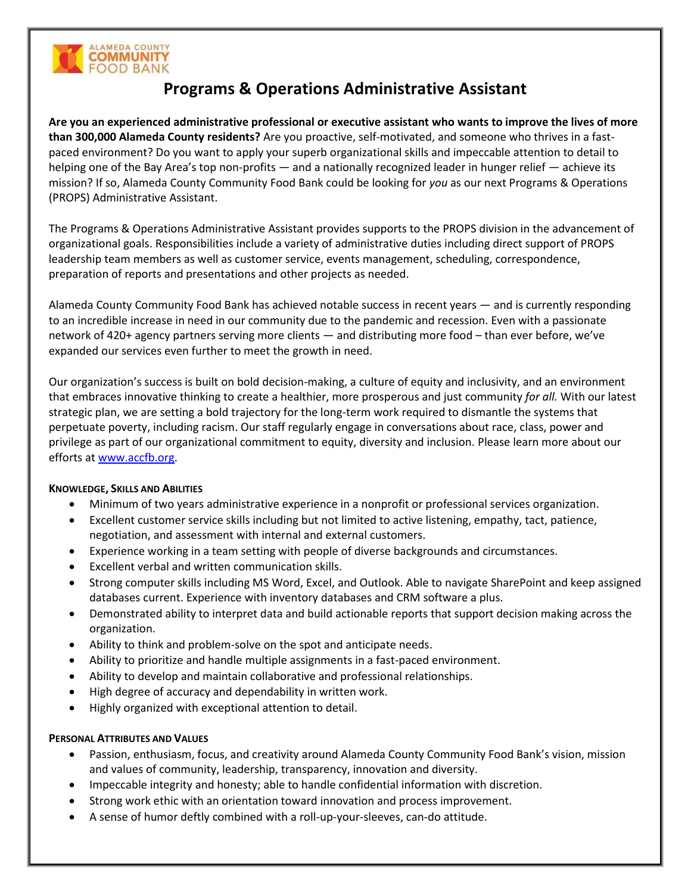

# **Programs & Operations Administrative Assistant**

**Are you an experienced administrative professional or executive assistant who wants to improve the lives of more than 300,000 Alameda County residents?** Are you proactive, self-motivated, and someone who thrives in a fastpaced environment? Do you want to apply your superb organizational skills and impeccable attention to detail to helping one of the Bay Area's top non-profits — and a nationally recognized leader in hunger relief — achieve its mission? If so, Alameda County Community Food Bank could be looking for *you* as our next Programs & Operations (PROPS) Administrative Assistant.

The Programs & Operations Administrative Assistant provides supports to the PROPS division in the advancement of organizational goals. Responsibilities include a variety of administrative duties including direct support of PROPS leadership team members as well as customer service, events management, scheduling, correspondence, preparation of reports and presentations and other projects as needed.

Alameda County Community Food Bank has achieved notable success in recent years — and is currently responding to an incredible increase in need in our community due to the pandemic and recession. Even with a passionate network of 420+ agency partners serving more clients — and distributing more food – than ever before, we've expanded our services even further to meet the growth in need.

Our organization's success is built on bold decision-making, a culture of equity and inclusivity, and an environment that embraces innovative thinking to create a healthier, more prosperous and just community *for all.* With our latest strategic plan, we are setting a bold trajectory for the long-term work required to dismantle the systems that perpetuate poverty, including racism. Our staff regularly engage in conversations about race, class, power and privilege as part of our organizational commitment to equity, diversity and inclusion. Please learn more about our efforts at [www.accfb.org.](http://www.accfb.org/)

## **KNOWLEDGE, SKILLS AND ABILITIES**

- Minimum of two years administrative experience in a nonprofit or professional services organization.
- Excellent customer service skills including but not limited to active listening, empathy, tact, patience, negotiation, and assessment with internal and external customers.
- Experience working in a team setting with people of diverse backgrounds and circumstances.
- Excellent verbal and written communication skills.
- Strong computer skills including MS Word, Excel, and Outlook. Able to navigate SharePoint and keep assigned databases current. Experience with inventory databases and CRM software a plus.
- Demonstrated ability to interpret data and build actionable reports that support decision making across the organization.
- Ability to think and problem-solve on the spot and anticipate needs.
- Ability to prioritize and handle multiple assignments in a fast-paced environment.
- Ability to develop and maintain collaborative and professional relationships.
- High degree of accuracy and dependability in written work.
- Highly organized with exceptional attention to detail.

## **PERSONAL ATTRIBUTES AND VALUES**

- Passion, enthusiasm, focus, and creativity around Alameda County Community Food Bank's vision, mission and values of community, leadership, transparency, innovation and diversity.
- Impeccable integrity and honesty; able to handle confidential information with discretion.
- Strong work ethic with an orientation toward innovation and process improvement.
- A sense of humor deftly combined with a roll-up-your-sleeves, can-do attitude.